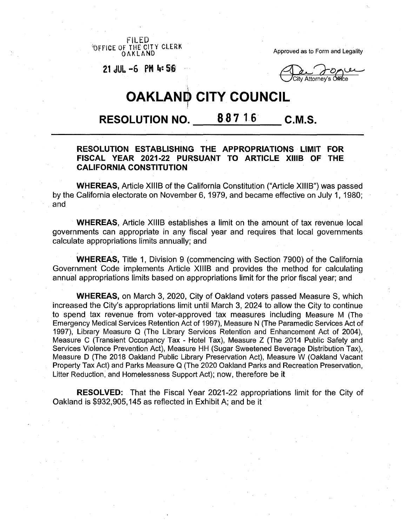FILED<br>OFFICE OF THE CITY CLERK® OAKLAND

Approved as to Form and Legality

**<sup>21</sup>** *SI* **~6 PM <sup>M</sup> 56**

◯ City Attorney's Office

# **5 OAKLAND CITY COUNCIL**

## **RESOLUTION NO. 887 <sup>1</sup> <sup>6</sup> C.M.S.**

## **RESOLUTION ESTABLISHING THE APPROPRIATIONS LIMIT FOR FISCAL YEAR 2021-22 PURSUANT TO ARTICLE XIIIB OF THE CALIFORNIA CONSTITUTION**

**WHEREAS,** Article XIIIB of the California Constitution ("Article XIIIB") was passed by the California electorate on November 6,1979, and became effective on July 1, 1980; and

**WHEREAS,** Article XIIIB establishes a limit on the amount of tax revenue local governments can appropriate in any fiscal year and requires that local governments calculate appropriations limits annually; and

**WHEREAS,** Title 1, Division 9 (commencing with Section 7900) of the California Government Code implements Article XIIIB and provides the method for calculating annual appropriations limits based on appropriations limit for the prior fiscal year; and

**WHEREAS,** on March 3, 2020, City of Oakland voters passed Measure S, which increased the City's appropriations limit until March 3, 2024 to allow the City to continue to spend tax revenue from voter-approved tax measures including Measure M (The Emergency Medical Services Retention Act of 1997), Measure N (The Paramedic Services Act of 1997), Library Measure Q (The Library Services Retention and Enhancement Act of 2004), Measure C (Transient Occupancy Tax - Hotel Tax), Measure Z (The 2014 Public Safety and Services Violence Prevention Act), Measure HH (Sugar Sweetened Beverage Distribution Tax), Measure D (The 2018 Oakland Public Library Preservation Act), Measure W (Oakland Vacant Property Tax Act) and Parks Measure Q (The 2020 Oakland Parks and Recreation Preservation, Litter Reduction, and Homelessness Support Act); now, therefore be it

**RESOLVED:** That the Fiscal Year 2021-22 appropriations limit for the City of Oakland is \$932,905,145 as reflected in Exhibit A; and be it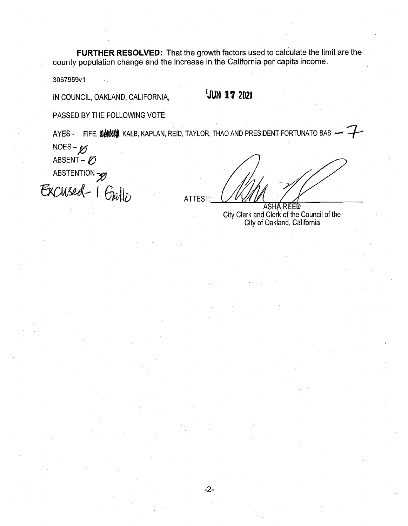FURTHER RESOLVED: That the growth factors used to calculate the limit are the county population change and the increase in the California per capita income.

3067959v1

JUN 17 2021

PASSED BY THE FOLLOWING VOTE:

IN COUNCIL, OAKLAND, CALIFORNIA,

AYES - FIFE, SHUM, KALB, KAPLAN, REID, TAYLOR, THAO AND PRESIDENT FORTUNATO BAS .

 $NOES - K$ ABSENT - Ø ABSTENTION 70

ATTEST:

ASHA REED City Clerk and Clerk of the Council of the<br>City of Oakland, California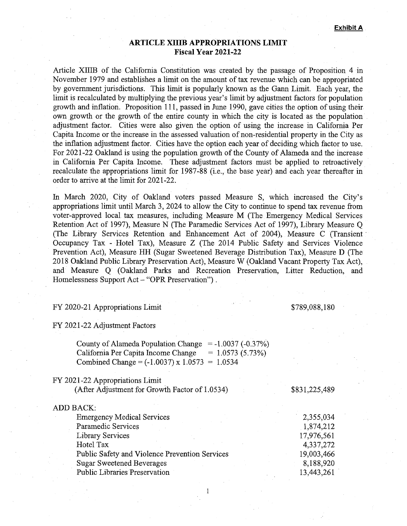## **ARTICLE XIIIB APPROPRIATIONS LIMIT Fiscal Year 2021-22**

Article XIIIB of the California Constitution was created by the passage of Proposition 4 in November 1979 and establishes a limit on the amount of tax revenue which can be appropriated by government jurisdictions. This limit is popularly known as the Gann Limit. Each year, the limit is recalculated by multiplying the previous year's limit by adjustment factors for population growth and inflation. Proposition 111, passed in June 1990, gave cities the option of using their own growth or the growth of the entire county in which the city is located as the population adjustment factor. Cities were also given the option of using the increase in California Per Capita Income or the increase in the assessed valuation of non-residential property in the City as the inflation adjustment factor. Cities have the option each year of deciding which factor to use. For 2021-22 Oakland is using the population growth of the County of Alameda and the increase in California Per Capita Income. These adjustment factors must be applied to retroactively recalculate the appropriations limit for 1987-88 (i.e., the base year) and each year thereafter in order to arrive at the limit for 2021-22.

In March 2020, City of Oakland voters passed Measure S, which increased the City's appropriations limit until March 3, 2024 to allow the City to continue to spend tax revenue from voter-approved local tax measures, including Measure M (The Emergency Medical Services Retention Act of 1997), Measure N (The Paramedic Services Act of 1997), Library Measure Q (The Library Services Retention and Enhancement Act of 2004), Measure C (Transient Occupancy Tax - Hotel Tax), Measure Z (The 2014 Public Safety and Services Violence Prevention Act), Measure HH (Sugar Sweetened Beverage Distribution Tax), Measure D (The 2018 Oakland Public Library Preservation Act), Measure W (Oakland Vacant Property Tax Act), and Measure Q (Oakland Parks and Recreation Preservation, Litter Reduction, and Homelessness Support Act – "OPR Preservation").

### FY 2020-21 Appropriations Limit \$789,088,180

#### FY 2021-22 Adjustment Factors

County of Alameda Population Change =  $-1.0037$  (-0.37%)<br>California Per Capita Income Change =  $1.0573$  (5.73%) California Per Capita Income Change Combined Change =  $(-1.0037)$  x  $1.0573 = 1.0534$ 

| FY 2021-22 Appropriations Limit<br>(After Adjustment for Growth Factor of 1.0534) | \$831,225,489 |
|-----------------------------------------------------------------------------------|---------------|
| ADD BACK:                                                                         |               |
| <b>Emergency Medical Services</b>                                                 | 2,355,034     |
| Paramedic Services                                                                | 1,874,212     |
| <b>Library Services</b>                                                           | 17,976,561    |
| Hotel Tax                                                                         | 4,337,272     |
| Public Safety and Violence Prevention Services                                    | 19,003,466    |
| <b>Sugar Sweetened Beverages</b>                                                  | 8,188,920     |
| <b>Public Libraries Preservation</b>                                              | 13,443,261    |

 $\mathbf{1}$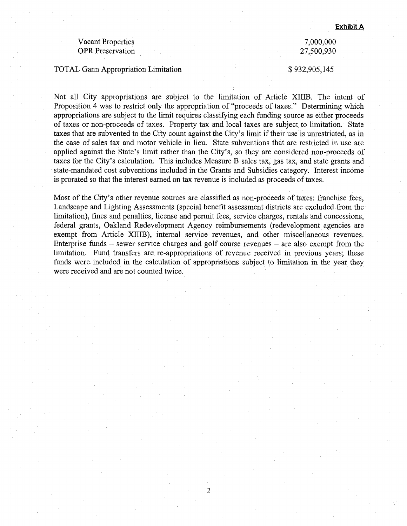### Vacant Properties OPR Preservation

#### TOTAL Gann Appropriation Limitation  $$ 932,905,145$

## 7,000,000 27,500,930

Not all City appropriations are subject to the limitation of Article XIIIB. The intent of Proposition 4 was to restrict only the appropriation of "proceeds of taxes." Determining which appropriations are subject to the limit requires classifying each funding source as either proceeds of taxes or non-proceeds of taxes. Property tax and local taxes are subject to limitation. State taxes that are subvented to the City count against the City's limit iftheir use is unrestricted, as in the case of sales tax and motor vehicle in lieu. State subventions that are restricted in use are applied against the State's limit rather than the City's, so they are considered non-proceeds of taxes for the City's calculation. This includes Measure B sales tax, gas tax, and state grants and state-mandated cost subventions included in the Grants and Subsidies category. Interest income is prorated so that the interest earned on tax revenue is included as proceeds of taxes.

Most of the City's other revenue sources are classified as non-proceeds of taxes: franchise fees, Landscape and Lighting Assessments (special benefit assessment districts are excluded from the limitation), fines and penalties, license and permit fees, service charges, rentals and concessions, federal grants, Oakland Redevelopment Agency reimbursements (redevelopment agencies are exempt from Article XIIIB), internal service revenues, and other miscellaneous revenues. Enterprise funds - sewer service charges and golf course revenues - are also exempt from the limitation. Fund transfers are re-appropriations of revenue received in previous years; these funds were included in the calculation of appropriations subject to limitation in the year they were received and are not counted twice.